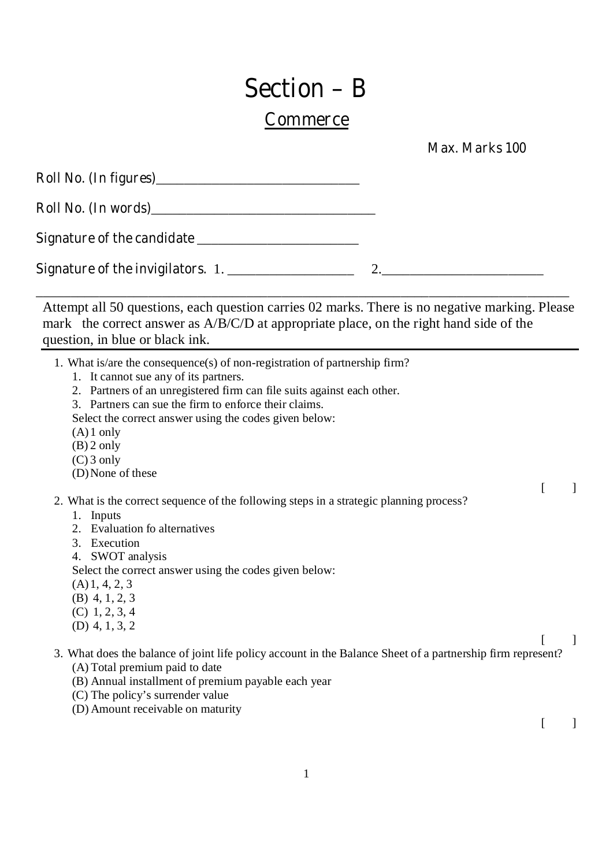## **Section – B**

## **Commerce**

 **Max. Marks 100** 

| Signature of the invigilators. 1. |  |
|-----------------------------------|--|

Attempt all 50 questions, each question carries 02 marks. There is no negative marking. Please mark the correct answer as A/B/C/D at appropriate place, on the right hand side of the question, in blue or black ink.

\_\_\_\_\_\_\_\_\_\_\_\_\_\_\_\_\_\_\_\_\_\_\_\_\_\_\_\_\_\_\_\_\_\_\_\_\_\_\_\_\_\_\_\_\_\_\_\_\_\_\_\_\_\_\_\_\_\_\_\_\_\_\_\_\_\_\_\_\_\_\_\_\_\_\_\_

- 1. What is/are the consequence(s) of non-registration of partnership firm?
	- 1. It cannot sue any of its partners.
	- 2. Partners of an unregistered firm can file suits against each other.
	- 3. Partners can sue the firm to enforce their claims.

Select the correct answer using the codes given below:

- $(A)1$  only
- (B) 2 only
- (C) 3 only
- (D)None of these
- $[$   $]$ 2. What is the correct sequence of the following steps in a strategic planning process?
	- 1. Inputs
	- 2. Evaluation fo alternatives
	- 3. Execution
	- 4. SWOT analysis

Select the correct answer using the codes given below:

- (A)1, 4, 2, 3
- (B) 4, 1, 2, 3
- (C) 1, 2, 3, 4
- (D) 4, 1, 3, 2
- $[$   $]$ 3. What does the balance of joint life policy account in the Balance Sheet of a partnership firm represent?
	- (A) Total premium paid to date
	- (B) Annual installment of premium payable each year
	- (C) The policy's surrender value
	- (D) Amount receivable on maturity

 $[$   $]$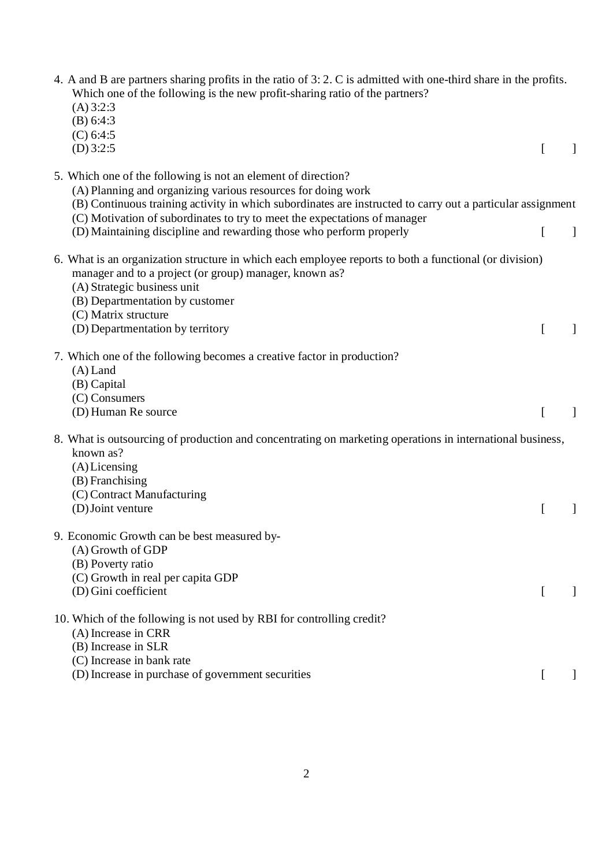| 4. A and B are partners sharing profits in the ratio of 3: 2. C is admitted with one-third share in the profits.<br>Which one of the following is the new profit-sharing ratio of the partners?<br>(A) 3:2:3<br>(B) 6:4:3<br>(C) 6:4:5                                                                                                                                                          |              |
|-------------------------------------------------------------------------------------------------------------------------------------------------------------------------------------------------------------------------------------------------------------------------------------------------------------------------------------------------------------------------------------------------|--------------|
| $(D)$ 3:2:5                                                                                                                                                                                                                                                                                                                                                                                     |              |
| 5. Which one of the following is not an element of direction?<br>(A) Planning and organizing various resources for doing work<br>(B) Continuous training activity in which subordinates are instructed to carry out a particular assignment<br>(C) Motivation of subordinates to try to meet the expectations of manager<br>(D) Maintaining discipline and rewarding those who perform properly | $\mathbf{1}$ |
| 6. What is an organization structure in which each employee reports to both a functional (or division)<br>manager and to a project (or group) manager, known as?<br>(A) Strategic business unit<br>(B) Departmentation by customer<br>(C) Matrix structure<br>(D) Departmentation by territory                                                                                                  | $\mathbf{I}$ |
| 7. Which one of the following becomes a creative factor in production?<br>$(A)$ Land<br>(B) Capital<br>(C) Consumers<br>(D) Human Re source                                                                                                                                                                                                                                                     |              |
| 8. What is outsourcing of production and concentrating on marketing operations in international business,<br>known as?<br>(A) Licensing<br>(B) Franchising<br>(C) Contract Manufacturing<br>(D) Joint venture                                                                                                                                                                                   |              |
| 9. Economic Growth can be best measured by-<br>(A) Growth of GDP<br>(B) Poverty ratio<br>(C) Growth in real per capita GDP<br>(D) Gini coefficient                                                                                                                                                                                                                                              |              |
| 10. Which of the following is not used by RBI for controlling credit?<br>(A) Increase in CRR<br>(B) Increase in SLR<br>(C) Increase in bank rate<br>(D) Increase in purchase of government securities                                                                                                                                                                                           |              |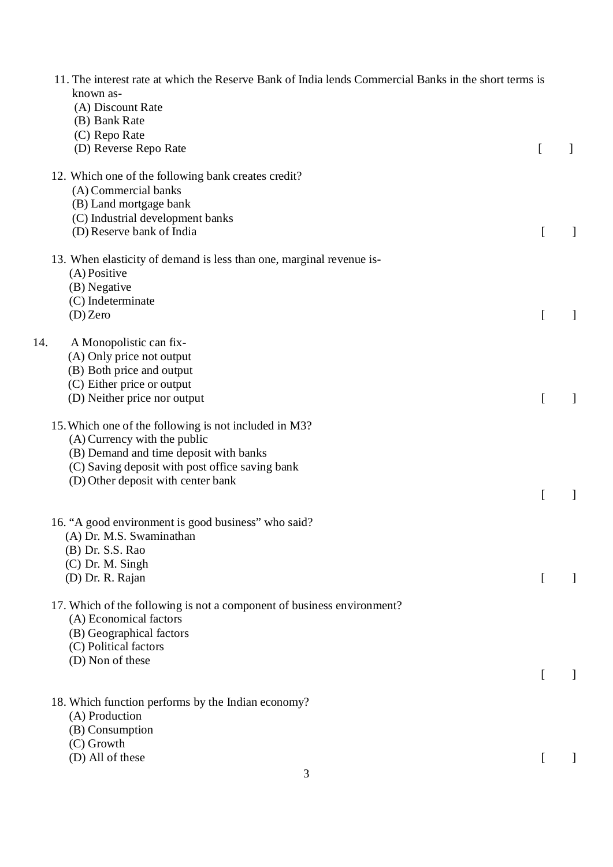| 11. The interest rate at which the Reserve Bank of India lends Commercial Banks in the short terms is<br>known as-<br>(A) Discount Rate<br>(B) Bank Rate                                                                 |          |  |
|--------------------------------------------------------------------------------------------------------------------------------------------------------------------------------------------------------------------------|----------|--|
| (C) Repo Rate<br>(D) Reverse Repo Rate                                                                                                                                                                                   | $\Gamma$ |  |
| 12. Which one of the following bank creates credit?<br>(A) Commercial banks<br>(B) Land mortgage bank<br>(C) Industrial development banks<br>(D) Reserve bank of India                                                   |          |  |
| 13. When elasticity of demand is less than one, marginal revenue is-<br>(A) Positive<br>(B) Negative<br>(C) Indeterminate<br>$(D)$ Zero                                                                                  |          |  |
| 14.<br>A Monopolistic can fix-<br>(A) Only price not output<br>(B) Both price and output<br>(C) Either price or output<br>(D) Neither price nor output                                                                   |          |  |
| 15. Which one of the following is not included in M3?<br>(A) Currency with the public<br>(B) Demand and time deposit with banks<br>(C) Saving deposit with post office saving bank<br>(D) Other deposit with center bank |          |  |
| 16. "A good environment is good business" who said?<br>(A) Dr. M.S. Swaminathan<br>(B) Dr. S.S. Rao<br>(C) Dr. M. Singh<br>(D) Dr. R. Rajan                                                                              |          |  |
| 17. Which of the following is not a component of business environment?<br>(A) Economical factors<br>(B) Geographical factors<br>(C) Political factors<br>(D) Non of these                                                |          |  |
| 18. Which function performs by the Indian economy?<br>(A) Production<br>(B) Consumption<br>(C) Growth                                                                                                                    |          |  |
| (D) All of these<br>3                                                                                                                                                                                                    |          |  |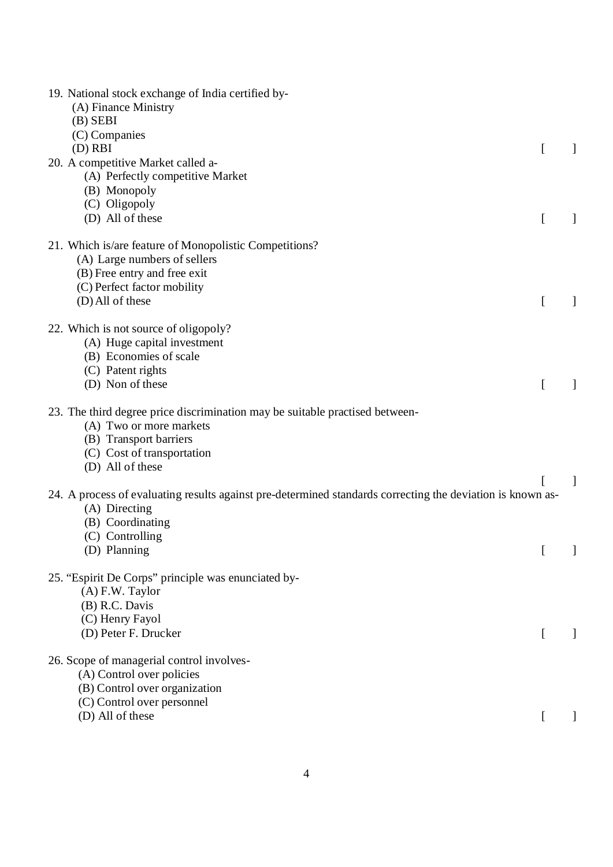| 19. National stock exchange of India certified by-<br>(A) Finance Ministry<br>$(B)$ SEBI<br>(C) Companies<br>$(D)$ RBI                                                              |  |
|-------------------------------------------------------------------------------------------------------------------------------------------------------------------------------------|--|
| 20. A competitive Market called a-<br>(A) Perfectly competitive Market<br>(B) Monopoly<br>(C) Oligopoly<br>(D) All of these                                                         |  |
| 21. Which is/are feature of Monopolistic Competitions?<br>(A) Large numbers of sellers<br>(B) Free entry and free exit<br>(C) Perfect factor mobility<br>(D) All of these           |  |
| 22. Which is not source of oligopoly?<br>(A) Huge capital investment<br>(B) Economies of scale<br>(C) Patent rights<br>(D) Non of these                                             |  |
| 23. The third degree price discrimination may be suitable practised between-<br>(A) Two or more markets<br>(B) Transport barriers<br>(C) Cost of transportation<br>(D) All of these |  |
| 24. A process of evaluating results against pre-determined standards correcting the deviation is known as-<br>(A) Directing<br>(B) Coordinating<br>(C) Controlling<br>(D) Planning  |  |
| 25. "Espirit De Corps" principle was enunciated by-<br>$(A)$ F.W. Taylor<br>(B) R.C. Davis<br>(C) Henry Fayol<br>(D) Peter F. Drucker                                               |  |
| 26. Scope of managerial control involves-<br>(A) Control over policies<br>(B) Control over organization<br>(C) Control over personnel<br>(D) All of these                           |  |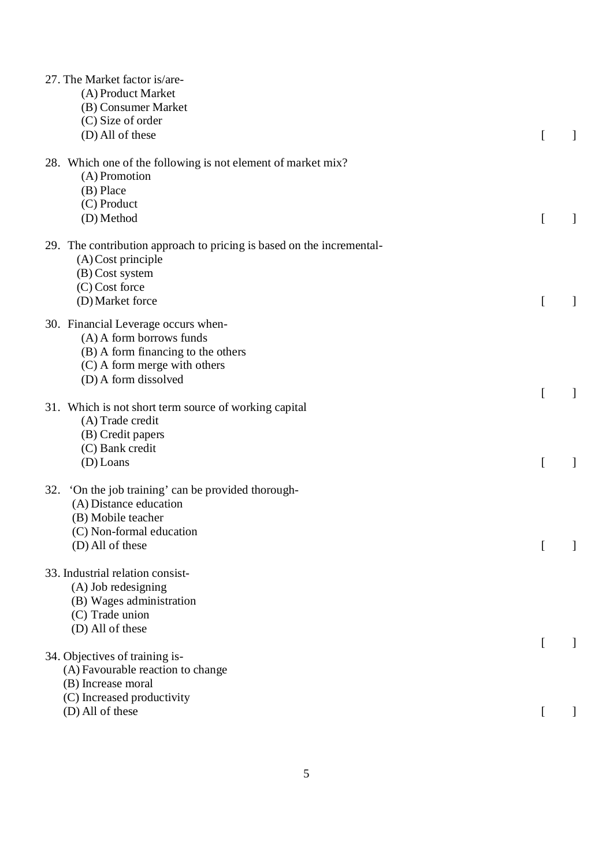| 27. The Market factor is/are-<br>(A) Product Market<br>(B) Consumer Market<br>(C) Size of order<br>(D) All of these                                           |   |  |
|---------------------------------------------------------------------------------------------------------------------------------------------------------------|---|--|
| 28. Which one of the following is not element of market mix?<br>(A) Promotion<br>(B) Place<br>(C) Product<br>(D) Method                                       |   |  |
| 29. The contribution approach to pricing is based on the incremental-<br>$(A)$ Cost principle<br>(B) Cost system<br>$(C)$ Cost force<br>(D) Market force      |   |  |
| 30. Financial Leverage occurs when-<br>(A) A form borrows funds<br>(B) A form financing to the others<br>(C) A form merge with others<br>(D) A form dissolved |   |  |
| 31. Which is not short term source of working capital<br>(A) Trade credit<br>(B) Credit papers<br>(C) Bank credit<br>$(D)$ Loans                              |   |  |
| 'On the job training' can be provided thorough-<br>32.<br>(A) Distance education<br>(B) Mobile teacher<br>(C) Non-formal education<br>(D) All of these        |   |  |
| 33. Industrial relation consist-<br>(A) Job redesigning<br>(B) Wages administration<br>(C) Trade union<br>(D) All of these                                    |   |  |
| 34. Objectives of training is-<br>(A) Favourable reaction to change<br>(B) Increase moral<br>(C) Increased productivity<br>(D) All of these                   |   |  |
|                                                                                                                                                               | t |  |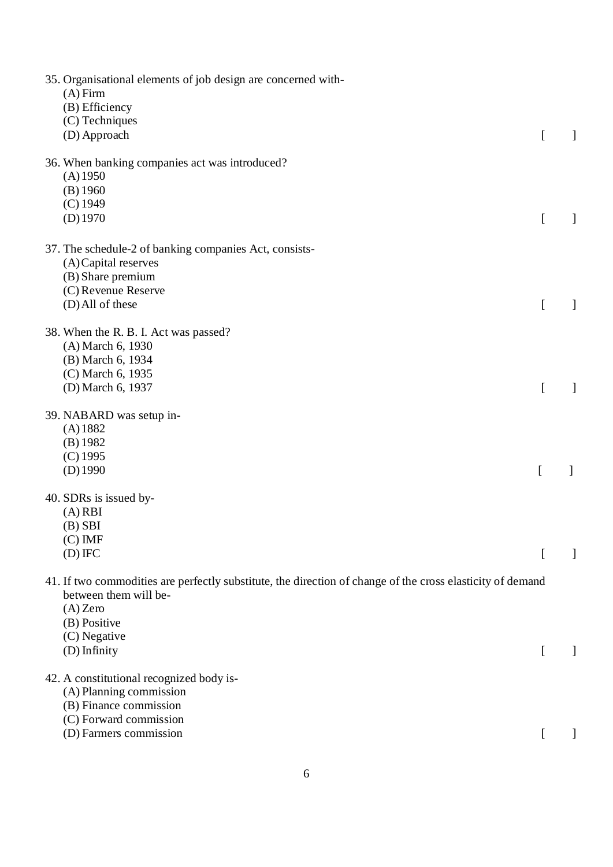| 35. Organisational elements of job design are concerned with-<br>$(A)$ Firm<br>(B) Efficiency<br>(C) Techniques                                                                                   |   |  |
|---------------------------------------------------------------------------------------------------------------------------------------------------------------------------------------------------|---|--|
| (D) Approach                                                                                                                                                                                      | ſ |  |
| 36. When banking companies act was introduced?<br>(A) 1950<br>(B) 1960<br>$(C)$ 1949<br>$(D)$ 1970                                                                                                | L |  |
| 37. The schedule-2 of banking companies Act, consists-<br>(A) Capital reserves<br>(B) Share premium<br>(C) Revenue Reserve                                                                        |   |  |
| (D) All of these                                                                                                                                                                                  | L |  |
| 38. When the R. B. I. Act was passed?<br>(A) March 6, 1930<br>(B) March 6, 1934<br>(C) March 6, 1935<br>(D) March 6, 1937                                                                         |   |  |
| 39. NABARD was setup in-                                                                                                                                                                          |   |  |
| $(A)$ 1882<br>$(B)$ 1982<br>$(C)$ 1995<br>$(D)$ 1990                                                                                                                                              | ſ |  |
| 40. SDRs is issued by-<br>$(A)$ RBI<br>$(B)$ SBI<br>$(C)$ IMF<br>$(D)$ IFC                                                                                                                        |   |  |
|                                                                                                                                                                                                   |   |  |
| 41. If two commodities are perfectly substitute, the direction of change of the cross elasticity of demand<br>between them will be-<br>$(A)$ Zero<br>(B) Positive<br>(C) Negative<br>(D) Infinity | t |  |
| 42. A constitutional recognized body is-<br>(A) Planning commission<br>(B) Finance commission                                                                                                     |   |  |
| (C) Forward commission<br>(D) Farmers commission                                                                                                                                                  |   |  |